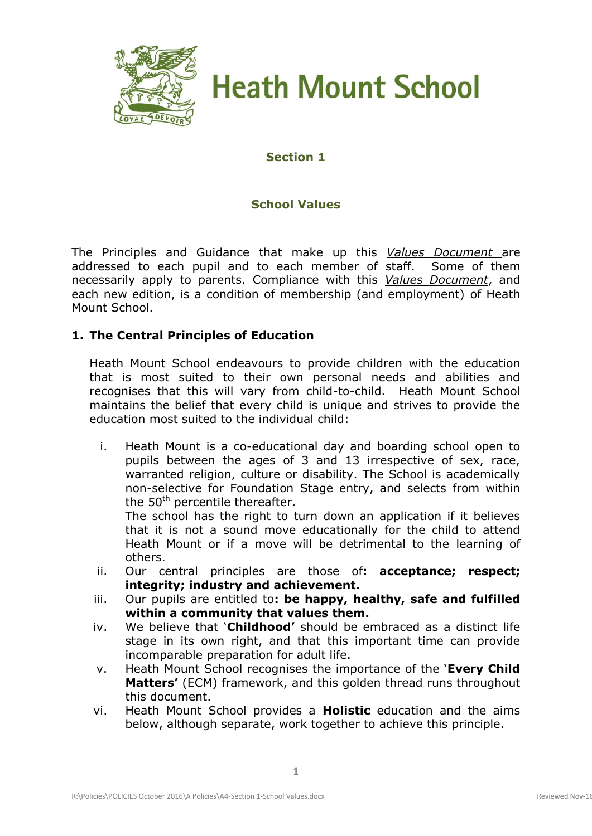

**Heath Mount School** 

# **Section 1**

# **School Values**

The Principles and Guidance that make up this *Values Document* are addressed to each pupil and to each member of staff. Some of them necessarily apply to parents. Compliance with this *Values Document*, and each new edition, is a condition of membership (and employment) of Heath Mount School.

## **1. The Central Principles of Education**

Heath Mount School endeavours to provide children with the education that is most suited to their own personal needs and abilities and recognises that this will vary from child-to-child. Heath Mount School maintains the belief that every child is unique and strives to provide the education most suited to the individual child:

i. Heath Mount is a co-educational day and boarding school open to pupils between the ages of 3 and 13 irrespective of sex, race, warranted religion, culture or disability. The School is academically non-selective for Foundation Stage entry, and selects from within the 50<sup>th</sup> percentile thereafter.

The school has the right to turn down an application if it believes that it is not a sound move educationally for the child to attend Heath Mount or if a move will be detrimental to the learning of others.

- ii. Our central principles are those of**: acceptance; respect; integrity; industry and achievement.**
- iii. Our pupils are entitled to**: be happy, healthy, safe and fulfilled within a community that values them.**
- iv. We believe that '**Childhood'** should be embraced as a distinct life stage in its own right, and that this important time can provide incomparable preparation for adult life.
- v. Heath Mount School recognises the importance of the '**Every Child Matters'** (ECM) framework, and this golden thread runs throughout this document.
- vi. Heath Mount School provides a **Holistic** education and the aims below, although separate, work together to achieve this principle.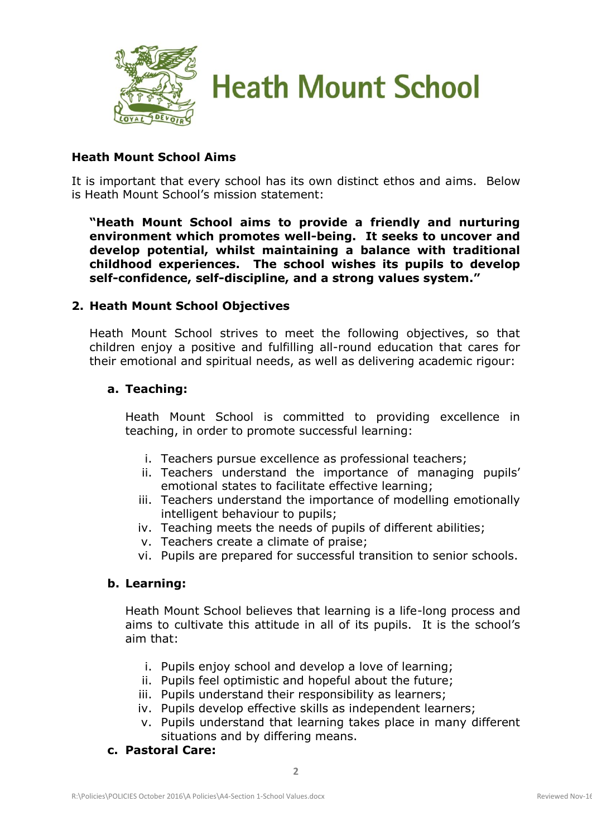



## **Heath Mount School Aims**

It is important that every school has its own distinct ethos and aims. Below is Heath Mount School's mission statement:

**"Heath Mount School aims to provide a friendly and nurturing environment which promotes well-being. It seeks to uncover and develop potential, whilst maintaining a balance with traditional childhood experiences. The school wishes its pupils to develop self-confidence, self-discipline, and a strong values system."**

### **2. Heath Mount School Objectives**

Heath Mount School strives to meet the following objectives, so that children enjoy a positive and fulfilling all-round education that cares for their emotional and spiritual needs, as well as delivering academic rigour:

#### **a. Teaching:**

Heath Mount School is committed to providing excellence in teaching, in order to promote successful learning:

- i. Teachers pursue excellence as professional teachers;
- ii. Teachers understand the importance of managing pupils' emotional states to facilitate effective learning;
- iii. Teachers understand the importance of modelling emotionally intelligent behaviour to pupils;
- iv. Teaching meets the needs of pupils of different abilities;
- v. Teachers create a climate of praise;
- vi. Pupils are prepared for successful transition to senior schools.

### **b. Learning:**

Heath Mount School believes that learning is a life-long process and aims to cultivate this attitude in all of its pupils. It is the school's aim that:

- i. Pupils enjoy school and develop a love of learning;
- ii. Pupils feel optimistic and hopeful about the future;
- iii. Pupils understand their responsibility as learners;
- iv. Pupils develop effective skills as independent learners;
- v. Pupils understand that learning takes place in many different situations and by differing means.
- **c. Pastoral Care:**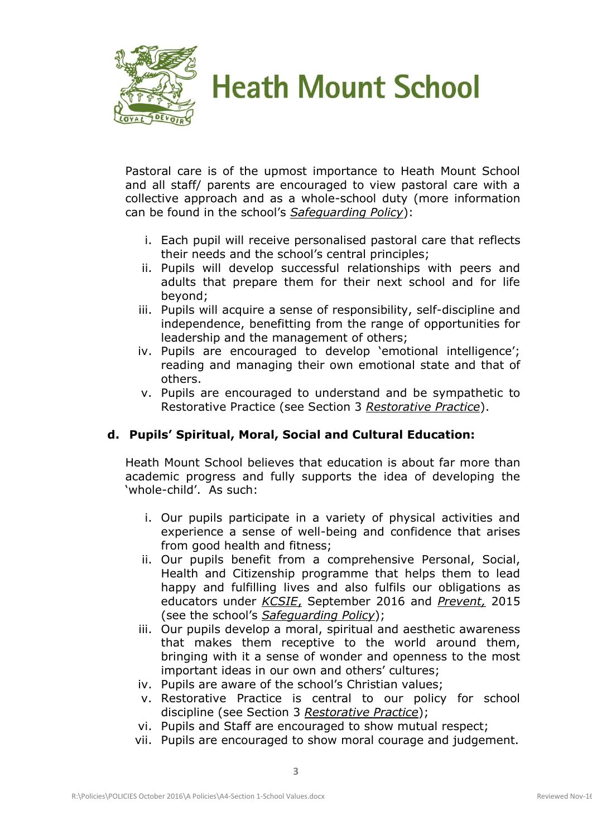



Pastoral care is of the upmost importance to Heath Mount School and all staff/ parents are encouraged to view pastoral care with a collective approach and as a whole-school duty (more information can be found in the school's *Safeguarding Policy*):

- i. Each pupil will receive personalised pastoral care that reflects their needs and the school's central principles;
- ii. Pupils will develop successful relationships with peers and adults that prepare them for their next school and for life beyond;
- iii. Pupils will acquire a sense of responsibility, self-discipline and independence, benefitting from the range of opportunities for leadership and the management of others;
- iv. Pupils are encouraged to develop 'emotional intelligence'; reading and managing their own emotional state and that of others.
- v. Pupils are encouraged to understand and be sympathetic to Restorative Practice (see Section 3 *Restorative Practice*).

# **d. Pupils' Spiritual, Moral, Social and Cultural Education:**

Heath Mount School believes that education is about far more than academic progress and fully supports the idea of developing the 'whole-child'. As such:

- i. Our pupils participate in a variety of physical activities and experience a sense of well-being and confidence that arises from good health and fitness;
- ii. Our pupils benefit from a comprehensive Personal, Social, Health and Citizenship programme that helps them to lead happy and fulfilling lives and also fulfils our obligations as educators under *KCSIE*, September 2016 and *Prevent,* 2015 (see the school's *Safeguarding Policy*);
- iii. Our pupils develop a moral, spiritual and aesthetic awareness that makes them receptive to the world around them, bringing with it a sense of wonder and openness to the most important ideas in our own and others' cultures;
- iv. Pupils are aware of the school's Christian values;
- v. Restorative Practice is central to our policy for school discipline (see Section 3 *Restorative Practice*);
- vi. Pupils and Staff are encouraged to show mutual respect;
- vii. Pupils are encouraged to show moral courage and judgement.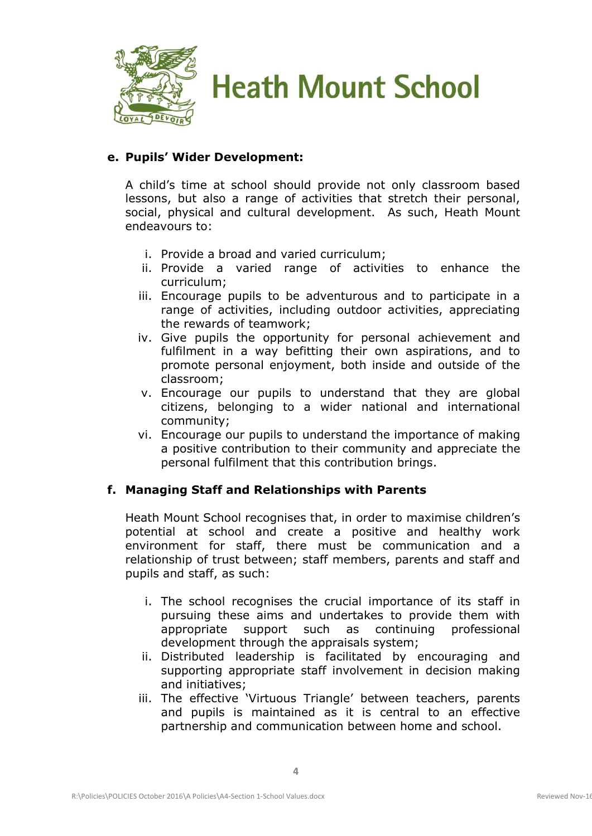



## **e. Pupils' Wider Development:**

A child's time at school should provide not only classroom based lessons, but also a range of activities that stretch their personal, social, physical and cultural development. As such, Heath Mount endeavours to:

- i. Provide a broad and varied curriculum;
- ii. Provide a varied range of activities to enhance the curriculum;
- iii. Encourage pupils to be adventurous and to participate in a range of activities, including outdoor activities, appreciating the rewards of teamwork;
- iv. Give pupils the opportunity for personal achievement and fulfilment in a way befitting their own aspirations, and to promote personal enjoyment, both inside and outside of the classroom;
- v. Encourage our pupils to understand that they are global citizens, belonging to a wider national and international community;
- vi. Encourage our pupils to understand the importance of making a positive contribution to their community and appreciate the personal fulfilment that this contribution brings.

### **f. Managing Staff and Relationships with Parents**

Heath Mount School recognises that, in order to maximise children's potential at school and create a positive and healthy work environment for staff, there must be communication and a relationship of trust between; staff members, parents and staff and pupils and staff, as such:

- i. The school recognises the crucial importance of its staff in pursuing these aims and undertakes to provide them with appropriate support such as continuing professional development through the appraisals system;
- ii. Distributed leadership is facilitated by encouraging and supporting appropriate staff involvement in decision making and initiatives;
- iii. The effective 'Virtuous Triangle' between teachers, parents and pupils is maintained as it is central to an effective partnership and communication between home and school.